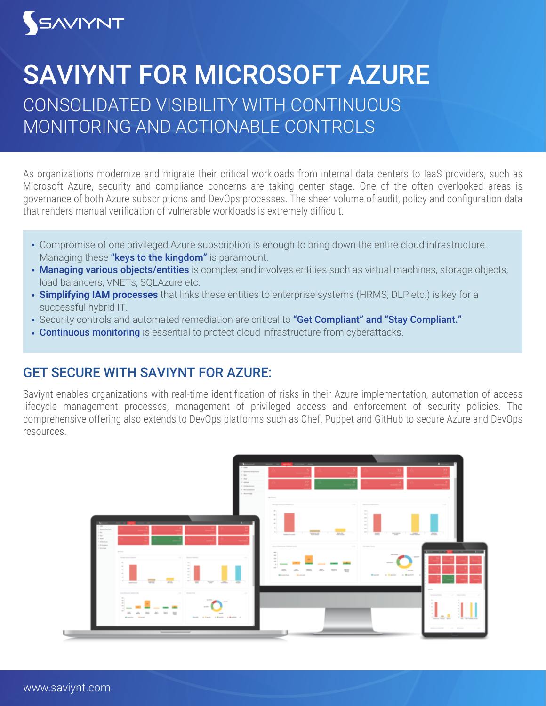## SAVIYNT

## CONSOLIDATED VISIBILITY WITH CONTINUOUS MONITORING AND ACTIONABLE CONTROLS SAVIYNT FOR MICROSOFT AZURE

As organizations modernize and migrate their critical workloads from internal data centers to IaaS providers, such as Microsoft Azure, security and compliance concerns are taking center stage. One of the often overlooked areas is governance of both Azure subscriptions and DevOps processes. The sheer volume of audit, policy and configuration data that renders manual verification of vulnerable workloads is extremely difficult.

- Compromise of one privileged Azure subscription is enough to bring down the entire cloud infrastructure. Managing these "keys to the kingdom" is paramount.
- Managing various objects/entities is complex and involves entities such as virtual machines, storage objects, load balancers, VNETs, SOLAzure etc.
- **Simplifying IAM processes** that links these entities to enterprise systems (HRMS, DLP etc.) is key for a successful hybrid IT.
- Security controls and automated remediation are critical to "Get Compliant" and "Stay Compliant."
- Continuous monitoring is essential to protect cloud infrastructure from cyberattacks.

## GET SECURE WITH SAVIYNT FOR AZURE:

Saviynt enables organizations with real-time identification of risks in their Azure implementation, automation of access lifecycle management processes, management of privileged access and enforcement of security policies. The comprehensive offering also extends to DevOps platforms such as Chef, Puppet and GitHub to secure Azure and DevOps resources.